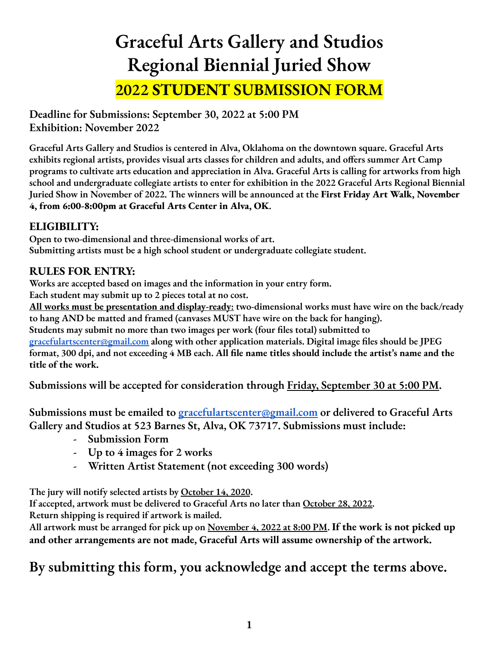# **Graceful Arts Gallery and Studios Regional Biennial Juried Show 2022 STUDENT SUBMISSION FORM**

**Deadline for Submissions: September 30, 2022 at 5:00 PM Exhibition: November 2022**

**Graceful Arts Gallery and Studios is centered in Alva, Oklahoma on the downtown square. Graceful Arts exhibits regional artists, provides visual arts classes for children and adults, and offers summer Art Camp** programs to cultivate arts education and appreciation in Alva. Graceful Arts is calling for artworks from high **school and undergraduate collegiate artists to enter for exhibition in the 2022 Graceful Arts Regional Biennial** Juried Show in November of 2022. The winners will be announced at the First Friday Art Walk, November **4, from 6:00-8:00pm at Graceful Arts Center in Alva, OK.**

### **ELIGIBILITY:**

**Open to two-dimensional and three-dimensional works of art. Submitting artists must be a high school student or undergraduate collegiate student.**

### **RULES FOR ENTRY:**

**Works are accepted based on images and the information in your entry form.**

**Each student may submit up to 2 pieces total at no cost.**

**All works must be presentation and display-ready: two-dimensional works must have wire on the back/ready to hang AND be matted and framed (canvases MUST have wire on the back for hanging).**

**Students may submit no more than two images per work (four files total) submitted to**

**[gracefulartscenter@gmail.com](mailto:gracefulartscenter@gmail.com) along with other application materials. Digital image files should be JPEG** format, 300 dpi, and not exceeding 4 MB each. All file name titles should include the artist's name and the **title of the work.**

**Submissions will be accepted for consideration through Friday, September 30 at 5:00 PM.**

**Submissions must be emailed to [gracefulartscenter@gmail.com](mailto:gracefulartscenter@gmail.com) or delivered to Graceful Arts Gallery and Studios at 523 Barnes St, Alva, OK 73717. Submissions must include:**

- **- Submission Form**
- **- Up to 4 images for 2 works**
- **- Written Artist Statement (not exceeding 300 words)**

**The jury will notify selected artists by October 14, 2020.**

**If accepted, artwork must be delivered to Graceful Arts no later than October 28, 2022. Return shipping is required if artwork is mailed.**

All artwork must be arranged for pick up on <u>November 4, 2022 at 8:00 PM</u>. If the work is not picked up **and other arrangements are not made, Graceful Arts will assume ownership of the artwork.**

## **By submitting this form, you acknowledge and accept the terms above.**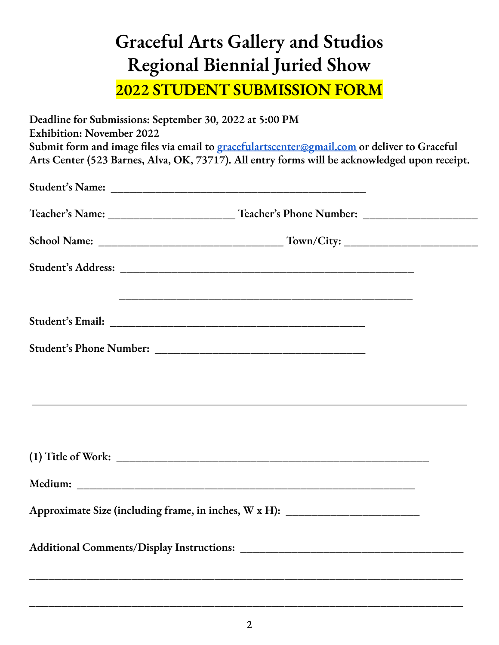## **Graceful Arts Gallery and Studios Regional Biennial Juried Show 2022 STUDENT SUBMISSION FORM**

| Deadline for Submissions: September 30, 2022 at 5:00 PM<br><b>Exhibition: November 2022</b> | Submit form and image files via email to gracefulartscenter@gmail.com or deliver to Graceful<br>Arts Center (523 Barnes, Alva, OK, 73717). All entry forms will be acknowledged upon receipt. |
|---------------------------------------------------------------------------------------------|-----------------------------------------------------------------------------------------------------------------------------------------------------------------------------------------------|
|                                                                                             |                                                                                                                                                                                               |
|                                                                                             |                                                                                                                                                                                               |
|                                                                                             |                                                                                                                                                                                               |
|                                                                                             |                                                                                                                                                                                               |
|                                                                                             |                                                                                                                                                                                               |
|                                                                                             |                                                                                                                                                                                               |
|                                                                                             |                                                                                                                                                                                               |
|                                                                                             |                                                                                                                                                                                               |
|                                                                                             |                                                                                                                                                                                               |
|                                                                                             | Approximate Size (including frame, in inches, W x H): ___________________________                                                                                                             |
|                                                                                             |                                                                                                                                                                                               |

**\_\_\_\_\_\_\_\_\_\_\_\_\_\_\_\_\_\_\_\_\_\_\_\_\_\_\_\_\_\_\_\_\_\_\_\_\_\_\_\_\_\_\_\_\_\_\_\_\_\_\_\_\_\_\_\_\_\_\_\_\_\_\_\_\_\_\_\_**